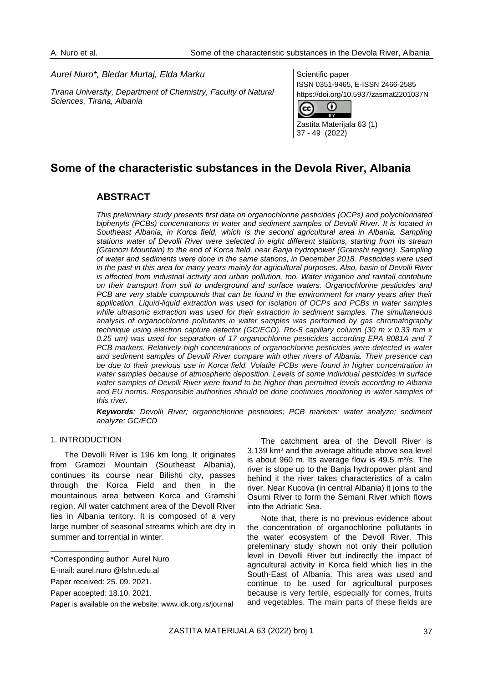#### *Aurel Nuro\*, Bledar Murtaj, Elda Marku*

*Tirana University, Department of Chemistry, Faculty of Natural Sciences, Tirana, Albania*

Scientific paper ISSN 0351-9465, E-ISSN 2466-2585 https://doi.org/10.5937/zasmat2201037N



# **Some of the characteristic substances in the Devola River, Albania**

# **ABSTRACT**

*This preliminary study presents first data on organochlorine pesticides (OCPs) and polychlorinated biphenyls (PCBs) concentrations in water and sediment samples of Devolli River. It is located in Southeast Albania, in Korca field, which is the second agricultural area in Albania. Sampling stations water of Devolli River were selected in eight different stations, starting from its stream (Gramozi Mountain) to the end of Korca field, near Banja hydropower (Gramshi region). Sampling of water and sediments were done in the same stations, in December 2018. Pesticides were used in the past in this area for many years mainly for agricultural purposes. Also, basin of Devolli River is affected from industrial activity and urban pollution, too. Water irrigation and rainfall contribute on their transport from soil to underground and surface waters. Organochlorine pesticides and PCB are very stable compounds that can be found in the environment for many years after their application. Liquid-liquid extraction was used for isolation of OCPs and PCBs in water samples while ultrasonic extraction was used for their extraction in sediment samples. The simultaneous analysis of organochlorine pollutants in water samples was performed by gas chromatography technique using electron capture detector (GC/ECD). Rtx-5 capillary column (30 m x 0.33 mm x 0.25 um) was used for separation of 17 organochlorine pesticides according EPA 8081A and 7 PCB markers. Relatively high concentrations of organochlorine pesticides were detected in water and sediment samples of Devolli River compare with other rivers of Albania. Their presence can be due to their previous use in Korca field. Volatile PCBs were found in higher concentration in water samples because of atmospheric deposition. Levels of some individual pesticides in surface water samples of Devolli River were found to be higher than permitted levels according to Albania and EU norms. Responsible authorities should be done continues monitoring in water samples of this river.* 

*Keywords: Devolli River; organochlorine pesticides; PCB markers; water analyze; sediment analyze; GC/ECD*

# 1. INTRODUCTION

The Devolli River is 196 km long. It originates from Gramozi Mountain (Southeast Albania), continues its course near Bilishti city, passes through the Korca Field and then in the mountainous area between Korca and Gramshi region. All water catchment area of the Devoll River lies in Albania teritory. It is composed of a very large number of seasonal streams which are dry in summer and torrential in winter.

The catchment area of the Devoll River is 3,139 km² and the average altitude above sea level is about 960 m. Its average flow is 49.5 m<sup>3</sup>/s. The river is slope up to the Banja hydropower plant and behind it the river takes characteristics of a calm river. Near Kucova (in central Albania) it joins to the Osumi River to form the Semani River which flows into the Adriatic Sea.

Note that, there is no previous evidence about the concentration of organochlorine pollutants in the water ecosystem of the Devoll River. This preleminary study shown not only their pollution level in Devolli River but indirectly the impact of agricultural activity in Korca field which lies in the South-East of Albania. This area was used and continue to be used for agricultural purposes because is very fertile, especially for cornes, fruits and vegetables. The main parts of these fields are

<sup>\*</sup>Corresponding author: Aurel Nuro

E-mail[: aurel.nuro @fshn.edu.al](mailto:bledar.mutaj@fshn.edu.al)

Paper received: 25. 09. 2021.

Paper accepted: 18.10. 2021.

Paper is available on the website: [www.idk.org.rs/journal](http://www.idk.org.rs/journal)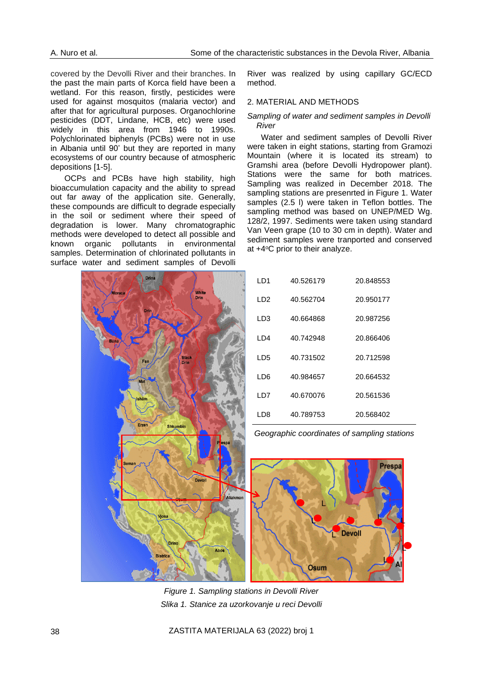covered by the Devolli River and their branches. In the past the main parts of Korca field have been a wetland. For this reason, firstly, pesticides were used for against mosquitos (malaria vector) and after that for agricultural purposes. Organochlorine pesticides (DDT, Lindane, HCB, etc) were used widely in this area from 1946 to 1990s. Polychlorinated biphenyls (PCBs) were not in use in Albania until 90' but they are reported in many ecosystems of our country because of atmospheric depositions [1-5].

OCPs and PCBs have high stability, high bioaccumulation capacity and the ability to spread out far away of the application site. Generally, these compounds are difficult to degrade especially in the soil or sediment where their speed of degradation is lower. Many chromatographic methods were developed to detect all possible and known organic pollutants in environmental samples. Determination of chlorinated pollutants in surface water and sediment samples of Devolli

River was realized by using capillary GC/ECD method.

#### 2. MATERIAL AND METHODS

#### *Sampling of water and sediment samples in Devolli River*

Water and sediment samples of Devolli River were taken in eight stations, starting from Gramozi Mountain (where it is located its stream) to Gramshi area (before Devolli Hydropower plant). Stations were the same for both matrices. Sampling was realized in December 2018. The sampling stations are presenrted in Figure 1. Water samples (2.5 l) were taken in Teflon bottles. The sampling method was based on UNEP/MED Wg. 128/2, 1997. Sediments were taken using standard Van Veen grape (10 to 30 cm in depth). Water and sediment samples were tranported and conserved at  $+4$ <sup>o</sup>C prior to their analyze.



| LD1 | 40.526179 | 20.848553 |
|-----|-----------|-----------|
| LD2 | 40.562704 | 20.950177 |
| LD3 | 40.664868 | 20.987256 |
| LD4 | 40.742948 | 20.866406 |
| LD5 | 40.731502 | 20.712598 |
| LD6 | 40.984657 | 20.664532 |
| LD7 | 40.670076 | 20.561536 |
| LD8 | 40.789753 | 20.568402 |

*Geographic coordinates of sampling stations*



*Figure 1. Sampling stations in Devolli River Slika 1. Stanice za uzorkovanje u reci Devolli*

38 ZASTITA MATERIJALA 63 (2022) broj 1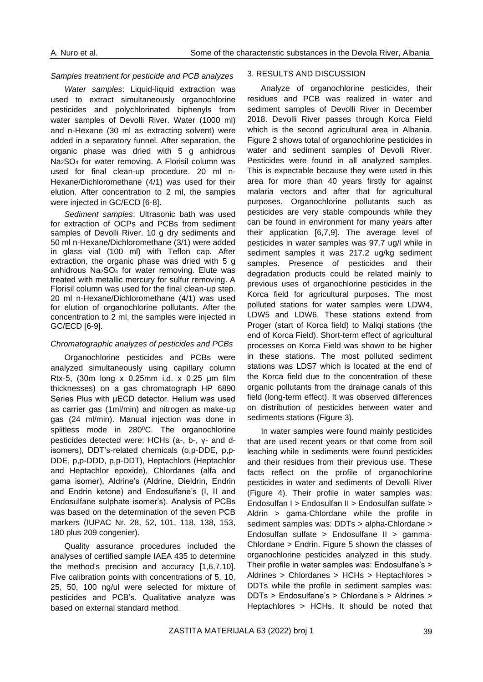#### *Samples treatment for pesticide and PCB analyzes*

*Water samples*: Liquid-liquid extraction was used to extract simultaneously organochlorine pesticides and polychlorinated biphenyls from water samples of Devolli River. Water (1000 ml) and n-Hexane (30 ml as extracting solvent) were added in a separatory funnel. After separation, the organic phase was dried with 5 g anhidrous Na2SO<sup>4</sup> for water removing. A Florisil column was used for final clean-up procedure. 20 ml n-Hexane/Dichloromethane (4/1) was used for their elution. After concentration to 2 ml, the samples were injected in GC/ECD [6-8].

*Sediment samples*: Ultrasonic bath was used for extraction of OCPs and PCBs from sediment samples of Devolli River. 10 g dry sediments and 50 ml n-Hexane/Dichloromethane (3/1) were added in glass vial (100 ml) with Teflon cap. After extraction, the organic phase was dried with 5 g anhidrous Na2SO<sup>4</sup> for water removing. Elute was treated with metallic mercury for sulfur removing. A Florisil column was used for the final clean-up step. 20 ml n-Hexane/Dichloromethane (4/1) was used for elution of organochlorine pollutants. After the concentration to 2 ml, the samples were injected in GC/ECD [6-9].

# *Chromatographic analyzes of pesticides and PCBs*

Organochlorine pesticides and PCBs were analyzed simultaneously using capillary column Rtx-5, (30m long x 0.25mm i.d. x 0.25 μm film thicknesses) on a gas chromatograph HP 6890 Series Plus with μECD detector. Helium was used as carrier gas (1ml/min) and nitrogen as make-up gas (24 ml/min). Manual injection was done in splitless mode in 280°C. The organochlorine pesticides detected were: HCHs (a-, b-, γ- and disomers), DDT's-related chemicals (o,p-DDE, p,p-DDE, p,p-DDD, p,p-DDT), Heptachlors (Heptachlor and Heptachlor epoxide), Chlordanes (alfa and gama isomer), Aldrine's (Aldrine, Dieldrin, Endrin and Endrin ketone) and Endosulfane's (I, II and Endosulfane sulphate isomer's). Analysis of PCBs was based on the determination of the seven PCB markers (IUPAC Nr. 28, 52, 101, 118, 138, 153, 180 plus 209 congenier).

Quality assurance procedures included the analyses of certified sample IAEA 435 to determine the method's precision and accuracy [1,6,7,10]. Five calibration points with concentrations of 5, 10, 25, 50, 100 ng/ul were selected for mixture of pesticides and PCB's. Qualitative analyze was based on external standard method.

#### 3. RESULTS AND DISCUSSION

Analyze of organochlorine pesticides, their residues and PCB was realized in water and sediment samples of Devolli River in December 2018. Devolli River passes through Korca Field which is the second agricultural area in Albania. Figure 2 shows total of organochlorine pesticides in water and sediment samples of Devolli River. Pesticides were found in all analyzed samples. This is expectable because they were used in this area for more than 40 years firstly for against malaria vectors and after that for agricultural purposes. Organochlorine pollutants such as pesticides are very stable compounds while they can be found in environment for many years after their application [6,7,9]. The average level of pesticides in water samples was 97.7 ug/l while in sediment samples it was 217.2 ug/kg sediment samples. Presence of pesticides and their degradation products could be related mainly to previous uses of organochlorine pesticides in the Korca field for agricultural purposes. The most polluted stations for water samples were LDW4, LDW5 and LDW6. These stations extend from Proger (start of Korca field) to Maliqi stations (the end of Korca Field). Short-term effect of agricultural processes on Korca Field was shown to be higher in these stations. The most polluted sediment stations was LDS7 which is located at the end of the Korca field due to the concentration of these organic pollutants from the drainage canals of this field (long-term effect). It was observed differences on distribution of pesticides between water and sediments stations (Figure 3).

In water samples were found mainly pesticides that are used recent years or that come from soil leaching while in sediments were found pesticides and their residues from their previous use. These facts reflect on the profile of organochlorine pesticides in water and sediments of Devolli River (Figure 4). Their profile in water samples was: Endosulfan I > Endosulfan II > Endosulfan sulfate > Aldrin > gama-Chlordane while the profile in sediment samples was: DDTs > alpha-Chlordane > Endosulfan sulfate > Endosulfane II > gamma-Chlordane > Endrin. Figure 5 shown the classes of organochlorine pesticides analyzed in this study. Their profile in water samples was: Endosulfane's > Aldrines > Chlordanes > HCHs > Heptachlores > DDTs while the profile in sediment samples was: DDTs > Endosulfane's > Chlordane's > Aldrines > Heptachlores > HCHs. It should be noted that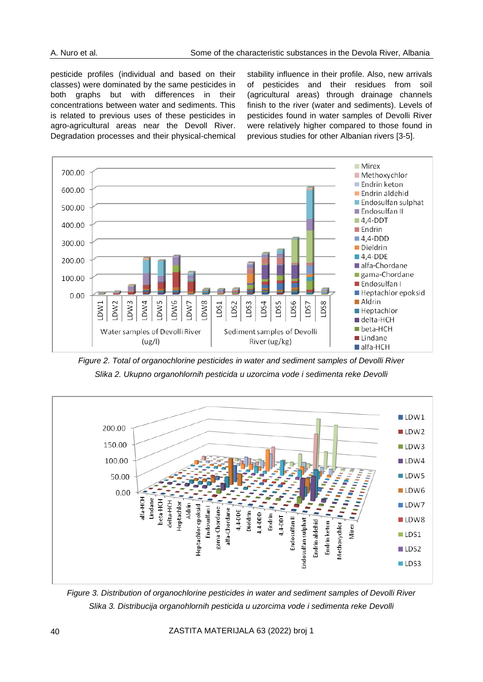pesticide profiles (individual and based on their classes) were dominated by the same pesticides in both graphs but with differences in their concentrations between water and sediments. This is related to previous uses of these pesticides in agro-agricultural areas near the Devoll River. Degradation processes and their physical-chemical stability influence in their profile. Also, new arrivals of pesticides and their residues from soil (agricultural areas) through drainage channels finish to the river (water and sediments). Levels of pesticides found in water samples of Devolli River were relatively higher compared to those found in previous studies for other Albanian rivers [3-5].



*Figure 2. Total of organochlorine pesticides in water and sediment samples of Devolli River Slika 2. Ukupno organohlornih pesticida u uzorcima vode i sedimenta reke Devolli*



*Figure 3. Distribution of organochlorine pesticides in water and sediment samples of Devolli River Slika 3. Distribucija organohlornih pesticida u uzorcima vode i sedimenta reke Devolli*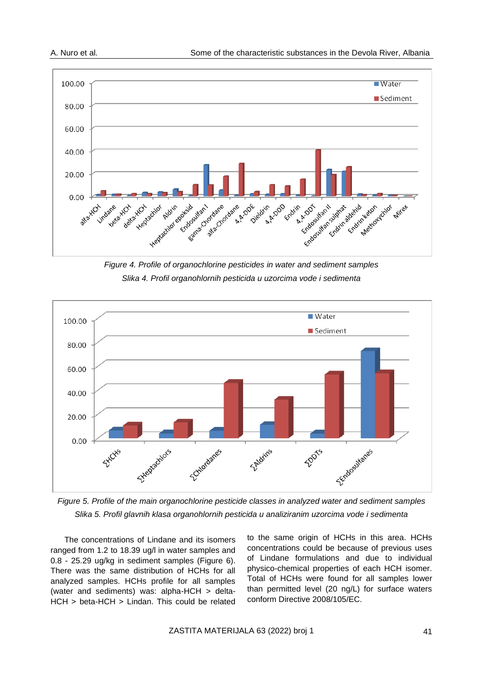

*Figure 4. Profile of organochlorine pesticides in water and sediment samples Slika 4. Profil organohlornih pesticida u uzorcima vode i sedimenta*



*Figure 5. Profile of the main organochlorine pesticide classes in analyzed water and sediment samples Slika 5. Profil glavnih klasa organohlornih pesticida u analiziranim uzorcima vode i sedimenta*

The concentrations of Lindane and its isomers ranged from 1.2 to 18.39 ug/l in water samples and 0.8 - 25.29 ug/kg in sediment samples (Figure 6). There was the same distribution of HCHs for all analyzed samples. HCHs profile for all samples (water and sediments) was: alpha-HCH > delta-HCH > beta-HCH > Lindan. This could be related to the same origin of HCHs in this area. HCHs concentrations could be because of previous uses of Lindane formulations and due to individual physico-chemical properties of each HCH isomer. Total of HCHs were found for all samples lower than permitted level (20 ng/L) for surface waters conform Directive 2008/105/EC.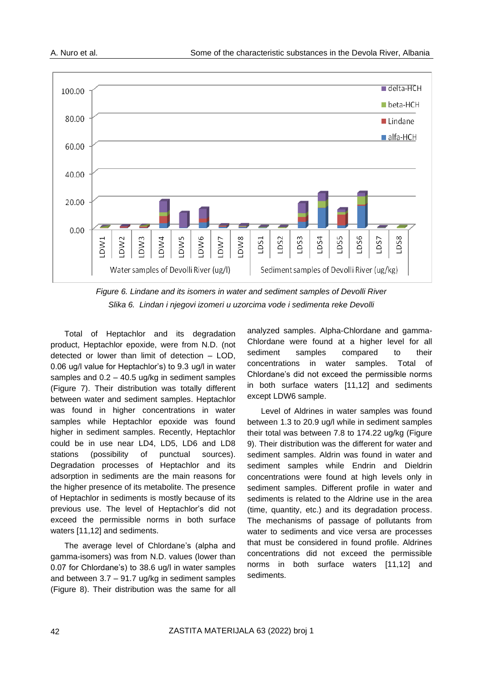

*Figure 6. Lindane and its isomers in water and sediment samples of Devolli River Slika 6. Lindan i njegovi izomeri u uzorcima vode i sedimenta reke Devolli*

Total of Heptachlor and its degradation product, Heptachlor epoxide, were from N.D. (not detected or lower than limit of detection – LOD, 0.06 ug/l value for Heptachlor's) to 9.3 ug/l in water samples and 0.2 – 40.5 ug/kg in sediment samples (Figure 7). Their distribution was totally different between water and sediment samples. Heptachlor was found in higher concentrations in water samples while Heptachlor epoxide was found higher in sediment samples. Recently, Heptachlor could be in use near LD4, LD5, LD6 and LD8 stations (possibility of punctual sources). Degradation processes of Heptachlor and its adsorption in sediments are the main reasons for the higher presence of its metabolite. The presence of Heptachlor in sediments is mostly because of its previous use. The level of Heptachlor's did not exceed the permissible norms in both surface waters [11,12] and sediments.

The average level of Chlordane's (alpha and gamma-isomers) was from N.D. values (lower than 0.07 for Chlordane's) to 38.6 ug/l in water samples and between 3.7 – 91.7 ug/kg in sediment samples (Figure 8). Their distribution was the same for all

analyzed samples. Alpha-Chlordane and gamma-Chlordane were found at a higher level for all sediment samples compared to their concentrations in water samples. Total of Chlordane's did not exceed the permissible norms in both surface waters [11,12] and sediments except LDW6 sample.

Level of Aldrines in water samples was found between 1.3 to 20.9 ug/l while in sediment samples their total was between 7.8 to 174.22 ug/kg (Figure 9). Their distribution was the different for water and sediment samples. Aldrin was found in water and sediment samples while Endrin and Dieldrin concentrations were found at high levels only in sediment samples. Different profile in water and sediments is related to the Aldrine use in the area (time, quantity, etc.) and its degradation process. The mechanisms of passage of pollutants from water to sediments and vice versa are processes that must be considered in found profile. Aldrines concentrations did not exceed the permissible norms in both surface waters [11,12] and sediments.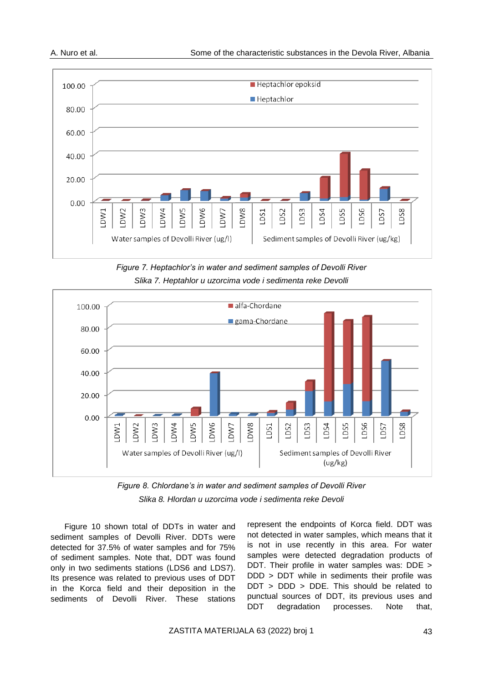

*Figure 7. Heptachlor's in water and sediment samples of Devolli River Slika 7. Heptahlor u uzorcima vode i sedimenta reke Devolli*



*Figure 8. Chlordane's in water and sediment samples of Devolli River Slika 8. Hlordan u uzorcima vode i sedimenta reke Devoli*

Figure 10 shown total of DDTs in water and sediment samples of Devolli River. DDTs were detected for 37.5% of water samples and for 75% of sediment samples. Note that, DDT was found only in two sediments stations (LDS6 and LDS7). Its presence was related to previous uses of DDT in the Korca field and their deposition in the sediments of Devolli River. These stations

represent the endpoints of Korca field. DDT was not detected in water samples, which means that it is not in use recently in this area. For water samples were detected degradation products of DDT. Their profile in water samples was: DDE > DDD > DDT while in sediments their profile was DDT > DDD > DDE. This should be related to punctual sources of DDT, its previous uses and DDT degradation processes. Note that,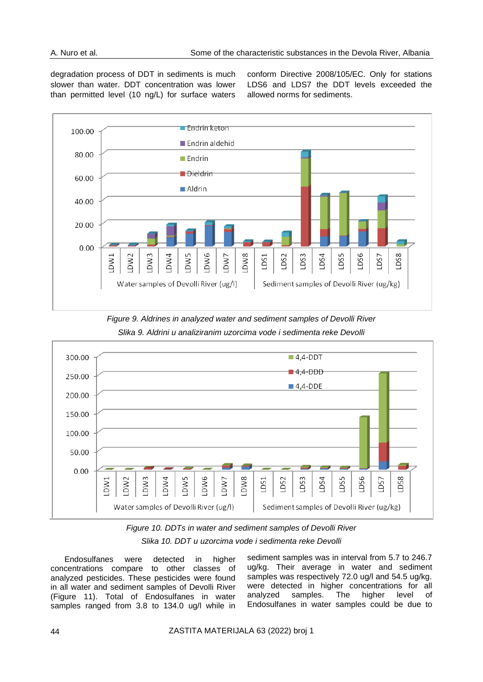degradation process of DDT in sediments is much slower than water. DDT concentration was lower than permitted level (10 ng/L) for surface waters conform Directive 2008/105/EC. Only for stations LDS6 and LDS7 the DDT levels exceeded the allowed norms for sediments.









Endosulfanes were detected in higher concentrations compare to other classes of analyzed pesticides. These pesticides were found in all water and sediment samples of Devolli River (Figure 11). Total of Endosulfanes in water samples ranged from 3.8 to 134.0 ug/l while in sediment samples was in interval from 5.7 to 246.7 ug/kg. Their average in water and sediment samples was respectively 72.0 ug/l and 54.5 ug/kg. were detected in higher concentrations for all analyzed samples. The higher level of Endosulfanes in water samples could be due to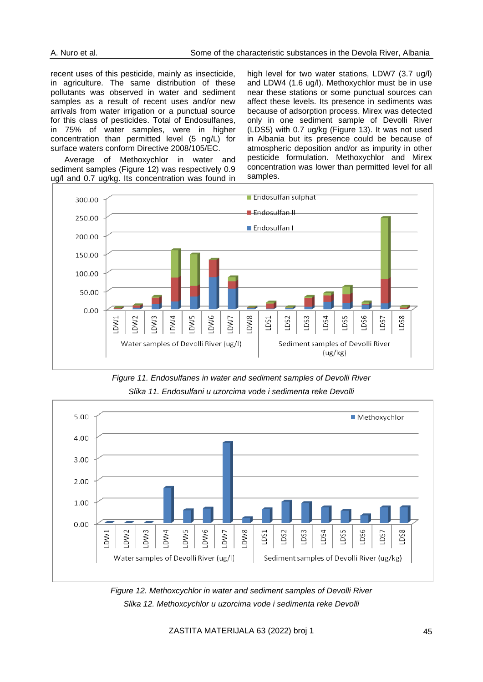recent uses of this pesticide, mainly as insecticide, in agriculture. The same distribution of these pollutants was observed in water and sediment samples as a result of recent uses and/or new arrivals from water irrigation or a punctual source for this class of pesticides. Total of Endosulfanes, in 75% of water samples, were in higher concentration than permitted level (5 ng/L) for surface waters conform Directive 2008/105/EC.

Average of Methoxychlor in water and sediment samples (Figure 12) was respectively 0.9 ug/l and 0.7 ug/kg. Its concentration was found in high level for two water stations, LDW7 (3.7 ug/l) and LDW4 (1.6 ug/l). Methoxychlor must be in use near these stations or some punctual sources can affect these levels. Its presence in sediments was because of adsorption process. Mirex was detected only in one sediment sample of Devolli River (LDS5) with 0.7 ug/kg (Figure 13). It was not used in Albania but its presence could be because of atmospheric deposition and/or as impurity in other pesticide formulation. Methoxychlor and Mirex concentration was lower than permitted level for all samples.



*Figure 11. Endosulfanes in water and sediment samples of Devolli River Slika 11. Endosulfani u uzorcima vode i sedimenta reke Devolli*



*Figure 12. Methoxcychlor in water and sediment samples of Devolli River Slika 12. Methoxcychlor u uzorcima vode i sedimenta reke Devolli*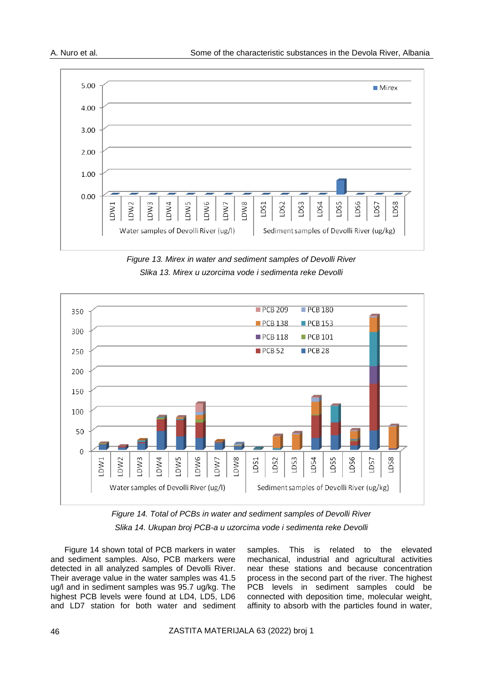

*Figure 13. Mirex in water and sediment samples of Devolli River Slika 13. Mirex u uzorcima vode i sedimenta reke Devolli*



*Figure 14. Total of PCBs in water and sediment samples of Devolli River Slika 14. Ukupan broj PCB-a u uzorcima vode i sedimenta reke Devolli*

Figure 14 shown total of PCB markers in water and sediment samples. Also, PCB markers were detected in all analyzed samples of Devolli River. Their average value in the water samples was 41.5 ug/l and in sediment samples was 95.7 ug/kg. The highest PCB levels were found at LD4, LD5, LD6 and LD7 station for both water and sediment samples. This is related to the elevated mechanical, industrial and agricultural activities near these stations and because concentration process in the second part of the river. The highest PCB levels in sediment samples could be connected with deposition time, molecular weight, affinity to absorb with the particles found in water,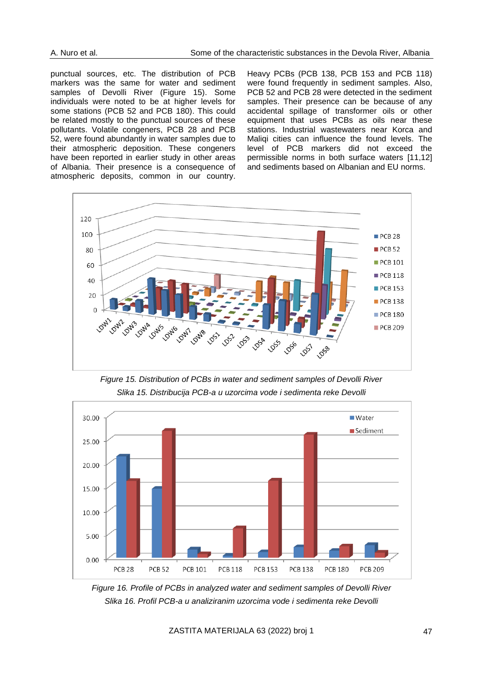punctual sources, etc. The distribution of PCB markers was the same for water and sediment samples of Devolli River (Figure 15). Some individuals were noted to be at higher levels for some stations (PCB 52 and PCB 180). This could be related mostly to the punctual sources of these pollutants. Volatile congeners, PCB 28 and PCB 52, were found abundantly in water samples due to their atmospheric deposition. These congeners have been reported in earlier study in other areas of Albania. Their presence is a consequence of atmospheric deposits, common in our country.

Heavy PCBs (PCB 138, PCB 153 and PCB 118) were found frequently in sediment samples. Also, PCB 52 and PCB 28 were detected in the sediment samples. Their presence can be because of any accidental spillage of transformer oils or other equipment that uses PCBs as oils near these stations. Industrial wastewaters near Korca and Maliqi cities can influence the found levels. The level of PCB markers did not exceed the permissible norms in both surface waters [11,12] and sediments based on Albanian and EU norms.



*Figure 15. Distribution of PCBs in water and sediment samples of Devolli River Slika 15. Distribucija PCB-a u uzorcima vode i sedimenta reke Devolli*



*Figure 16. Profile of PCBs in analyzed water and sediment samples of Devolli River Slika 16. Profil PCB-a u analiziranim uzorcima vode i sedimenta reke Devolli*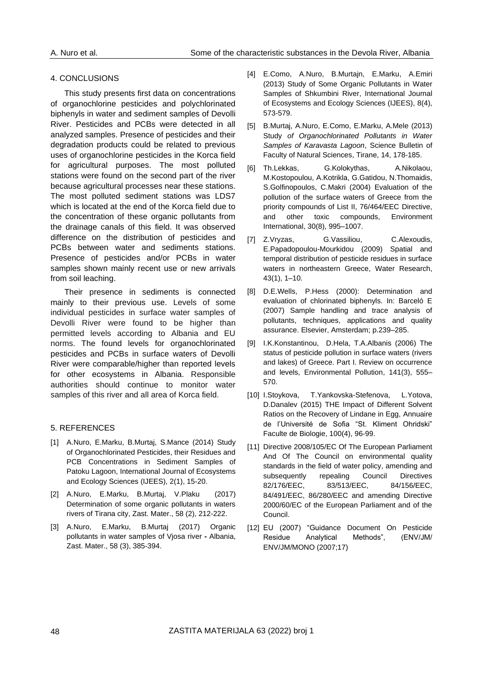## 4. CONCLUSIONS

This study presents first data on concentrations of organochlorine pesticides and polychlorinated biphenyls in water and sediment samples of Devolli River. Pesticides and PCBs were detected in all analyzed samples. Presence of pesticides and their degradation products could be related to previous uses of organochlorine pesticides in the Korca field for agricultural purposes. The most polluted stations were found on the second part of the river because agricultural processes near these stations. The most polluted sediment stations was LDS7 which is located at the end of the Korca field due to the concentration of these organic pollutants from the drainage canals of this field. It was observed difference on the distribution of pesticides and PCBs between water and sediments stations. Presence of pesticides and/or PCBs in water samples shown mainly recent use or new arrivals from soil leaching.

Their presence in sediments is connected mainly to their previous use. Levels of some individual pesticides in surface water samples of Devolli River were found to be higher than permitted levels according to Albania and EU norms. The found levels for organochlorinated pesticides and PCBs in surface waters of Devolli River were comparable/higher than reported levels for other ecosystems in Albania. Responsible authorities should continue to monitor water samples of this river and all area of Korca field.

# 5. REFERENCES

- [1] A.Nuro, E.Marku, B.Murtaj, S.Mance (2014) Study of Organochlorinated Pesticides, their Residues and PCB Concentrations in Sediment Samples of Patoku Lagoon, International Journal of Ecosystems and Ecology Sciences (IJEES), 2(1), 15-20.
- [2] A.Nuro, E.Marku, B.Murtaj, V.Plaku (2017) Determination of some organic pollutants in waters rivers of Tirana city, Zast. Mater., 58 (2), 212-222.
- [3] A.Nuro, E.Marku, B.Murtaj (2017) Organic pollutants in water samples of Vjosa river **-** Albania, Zast. Mater., 58 (3), 385-394.
- [4] E.Como, A.Nuro, B.Murtajn, E.Marku, A.Emiri (2013) Study of Some Organic Pollutants in Water Samples of Shkumbini River, International Journal of Ecosystems and Ecology Sciences (IJEES), 8(4), 573-579.
- [5] B.Murtaj, A.Nuro, E.Como, E.Marku, A.Mele (2013) Study *of Organochlorinated Pollutants in Water Samples of Karavasta Lagoon*, Science Bulletin of Faculty of Natural Sciences, Tirane, 14, 178-185.
- [6] T[h.Lekkas,](http://www.sciencedirect.com/science/article/pii/S0160412004000820) G[.Kolokythas,](http://www.sciencedirect.com/science/article/pii/S0160412004000820) A.Nikolaou, [M.Kostopoulou,](http://www.sciencedirect.com/science/article/pii/S0160412004000820) [A.Kotrikla,](http://www.sciencedirect.com/science/article/pii/S0160412004000820) G[.Gatidou,](http://www.sciencedirect.com/science/article/pii/S0160412004000820) N[.Thomaidis,](http://www.sciencedirect.com/science/article/pii/S0160412004000820) S[.Golfinopoulos,](http://www.sciencedirect.com/science/article/pii/S0160412004000820) C[.Makri](http://www.sciencedirect.com/science/article/pii/S0160412004000820) (2004) Evaluation of the pollution of the surface waters of Greece from the priority compounds of List II, 76/464/EEC Directive, and other toxic compounds, [Environment](http://www.sciencedirect.com/science/journal/01604120)  [International,](http://www.sciencedirect.com/science/journal/01604120) [30\(8\)](http://www.sciencedirect.com/science/journal/01604120/30/8), 995–1007.
- [7] [Z.Vryzas,](http://www.sciencedirect.com/science/article/pii/S0043135408004223) [G.Vassiliou,](http://www.sciencedirect.com/science/article/pii/S0043135408004223) [C.Alexoudis,](http://www.sciencedirect.com/science/article/pii/S0043135408004223) [E.Papadopoulou-Mourkidou](http://www.sciencedirect.com/science/article/pii/S0043135408004223) (2009) Spatial and temporal distribution of pesticide residues in surface waters in northeastern Greece, [Water Research,](http://www.sciencedirect.com/science/journal/00431354) [43\(1\)](http://www.sciencedirect.com/science/journal/00431354/43/1), 1–10.
- [8] D.E.Wells, P.Hess (2000): Determination and evaluation of chlorinated biphenyls. In: Barceló E (2007) Sample handling and trace analysis of pollutants, techniques, applications and quality assurance. Elsevier, Amsterdam; p.239–285.
- [9] I.K[.Konstantinou, D.Hela,](http://www.sciencedirect.com/science/article/pii/S0269749105004598) T.A[.Albanis](http://www.sciencedirect.com/science/article/pii/S0269749105004598) (2006) The status of pesticide pollution in surface waters (rivers and lakes) of Greece. Part I. Review on occurrence and levels, [Environmental Pollution,](http://www.sciencedirect.com/science/journal/02697491) [141\(3\)](http://www.sciencedirect.com/science/journal/02697491/141/3), 555– 570.
- [10] I.Stoykova, T.Yankovska-Stefenova, L.Yotova, D.Danalev (2015) THE Impact of Different Solvent Ratios on the Recovery of Lindane in Egg, Annuaire de l'Université de Sofia "St. Kliment Ohridski" Faculte de Biologie, 100(4), 96-99.
- [11] Directive 2008/105/EC Of The European Parliament And Of The Council on environmental quality standards in the field of water policy, amending and subsequently repealing Council Directives 82/176/EEC, 83/513/EEC, 84/156/EEC, 84/491/EEC, 86/280/EEC and amending Directive 2000/60/EC of the European Parliament and of the Council.
- [12] EU (2007) "Guidance Document On Pesticide Residue Analytical Methods", (ENV/JM/ ENV/JM/MONO (2007;17)